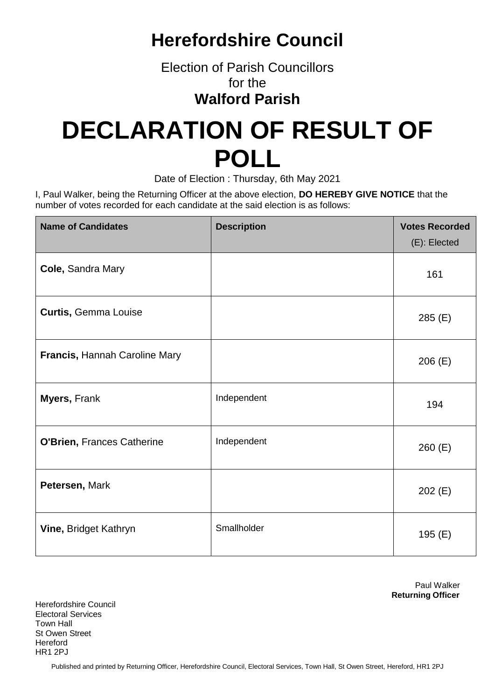## **Herefordshire Council**

Election of Parish Councillors for the **Walford Parish**

## **DECLARATION OF RESULT OF POLL**

Date of Election : Thursday, 6th May 2021

I, Paul Walker, being the Returning Officer at the above election, **DO HEREBY GIVE NOTICE** that the number of votes recorded for each candidate at the said election is as follows:

| <b>Name of Candidates</b>     | <b>Description</b> | <b>Votes Recorded</b><br>(E): Elected |
|-------------------------------|--------------------|---------------------------------------|
| Cole, Sandra Mary             |                    | 161                                   |
| <b>Curtis, Gemma Louise</b>   |                    | 285 (E)                               |
| Francis, Hannah Caroline Mary |                    | 206(E)                                |
| <b>Myers, Frank</b>           | Independent        | 194                                   |
| O'Brien, Frances Catherine    | Independent        | 260(E)                                |
| Petersen, Mark                |                    | 202(E)                                |
| Vine, Bridget Kathryn         | Smallholder        | 195 (E)                               |

Paul Walker **Returning Officer**

Herefordshire Council Electoral Services Town Hall St Owen Street **Hereford** HR1 2PJ